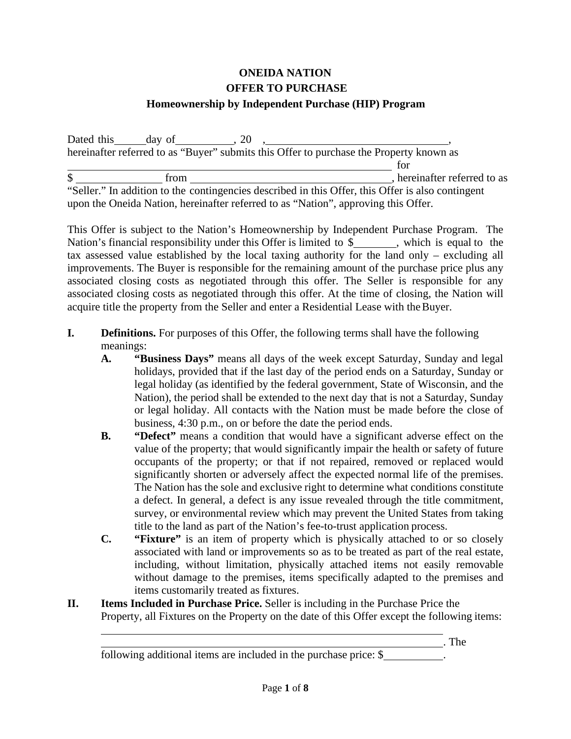# **ONEIDA NATION OFFER TO PURCHASE**

### **Homeownership by Independent Purchase (HIP) Program**

Dated this  $\qquad \qquad$  day of  $\qquad \qquad$ , 20 ,  $\qquad \qquad$ hereinafter referred to as "Buyer" submits this Offer to purchase the Property known as for \$ from from , hereinafter referred to as

"Seller." In addition to the contingencies described in this Offer, this Offer is also contingent upon the Oneida Nation, hereinafter referred to as "Nation", approving this Offer.

This Offer is subject to the Nation's Homeownership by Independent Purchase Program. The Nation's financial responsibility under this Offer is limited to \$, which is equal to the tax assessed value established by the local taxing authority for the land only – excluding all improvements. The Buyer is responsible for the remaining amount of the purchase price plus any associated closing costs as negotiated through this offer. The Seller is responsible for any associated closing costs as negotiated through this offer. At the time of closing, the Nation will acquire title the property from the Seller and enter a Residential Lease with theBuyer.

- **I. Definitions.** For purposes of this Offer, the following terms shall have the following meanings:
	- **A. "Business Days"** means all days of the week except Saturday, Sunday and legal holidays, provided that if the last day of the period ends on a Saturday, Sunday or legal holiday (as identified by the federal government, State of Wisconsin, and the Nation), the period shall be extended to the next day that is not a Saturday, Sunday or legal holiday. All contacts with the Nation must be made before the close of business, 4:30 p.m., on or before the date the period ends.
	- **B. "Defect"** means a condition that would have a significant adverse effect on the value of the property; that would significantly impair the health or safety of future occupants of the property; or that if not repaired, removed or replaced would significantly shorten or adversely affect the expected normal life of the premises. The Nation has the sole and exclusive right to determine what conditions constitute a defect. In general, a defect is any issue revealed through the title commitment, survey, or environmental review which may prevent the United States from taking title to the land as part of the Nation's fee-to-trust application process.
	- **C. "Fixture"** is an item of property which is physically attached to or so closely associated with land or improvements so as to be treated as part of the real estate, including, without limitation, physically attached items not easily removable without damage to the premises, items specifically adapted to the premises and items customarily treated as fixtures.

. The

**II. Items Included in Purchase Price.** Seller is including in the Purchase Price the Property, all Fixtures on the Property on the date of this Offer except the following items:

following additional items are included in the purchase price: \$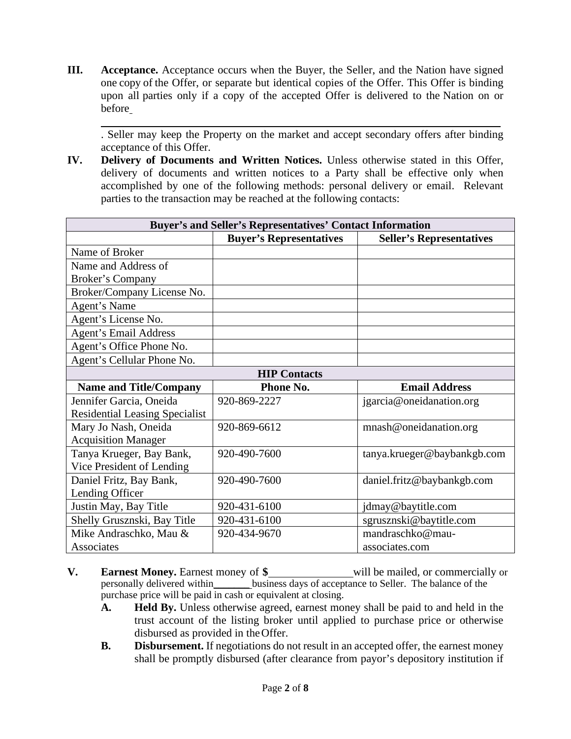**III. Acceptance.** Acceptance occurs when the Buyer, the Seller, and the Nation have signed one copy of the Offer, or separate but identical copies of the Offer. This Offer is binding upon all parties only if a copy of the accepted Offer is delivered to the Nation on or before

. Seller may keep the Property on the market and accept secondary offers after binding acceptance of this Offer.

**IV. Delivery of Documents and Written Notices.** Unless otherwise stated in this Offer, delivery of documents and written notices to a Party shall be effective only when accomplished by one of the following methods: personal delivery or email. Relevant parties to the transaction may be reached at the following contacts:

| <b>Buyer's and Seller's Representatives' Contact Information</b> |                                |                                 |  |  |
|------------------------------------------------------------------|--------------------------------|---------------------------------|--|--|
|                                                                  | <b>Buyer's Representatives</b> | <b>Seller's Representatives</b> |  |  |
| Name of Broker                                                   |                                |                                 |  |  |
| Name and Address of                                              |                                |                                 |  |  |
| <b>Broker's Company</b>                                          |                                |                                 |  |  |
| Broker/Company License No.                                       |                                |                                 |  |  |
| Agent's Name                                                     |                                |                                 |  |  |
| Agent's License No.                                              |                                |                                 |  |  |
| <b>Agent's Email Address</b>                                     |                                |                                 |  |  |
| Agent's Office Phone No.                                         |                                |                                 |  |  |
| Agent's Cellular Phone No.                                       |                                |                                 |  |  |
| <b>HIP Contacts</b>                                              |                                |                                 |  |  |
| <b>Name and Title/Company</b>                                    | Phone No.                      | <b>Email Address</b>            |  |  |
| Jennifer Garcia, Oneida                                          | 920-869-2227                   | jgarcia@oneidanation.org        |  |  |
| <b>Residential Leasing Specialist</b>                            |                                |                                 |  |  |
| Mary Jo Nash, Oneida                                             | 920-869-6612                   | mnash@oneidanation.org          |  |  |
| <b>Acquisition Manager</b>                                       |                                |                                 |  |  |
| Tanya Krueger, Bay Bank,                                         | 920-490-7600                   | tanya.krueger@baybankgb.com     |  |  |
| Vice President of Lending                                        |                                |                                 |  |  |
| Daniel Fritz, Bay Bank,                                          | 920-490-7600                   | daniel.fritz@baybankgb.com      |  |  |
| Lending Officer                                                  |                                |                                 |  |  |
| Justin May, Bay Title                                            | 920-431-6100                   | jdmay@baytitle.com              |  |  |
| Shelly Grusznski, Bay Title                                      | 920-431-6100                   | sgrusznski@baytitle.com         |  |  |
| Mike Andraschko, Mau &                                           | 920-434-9670                   | mandraschko@mau-                |  |  |
| Associates                                                       |                                | associates.com                  |  |  |

- **V. Earnest Money.** Earnest money of  $\frac{\ }{S}$  will be mailed, or commercially or personally delivered within business days of acceptance to Seller. The balance of the  $\frac{1}{2}$  business days of acceptance to Seller. The balance of the purchase price will be paid in cash or equivalent at closing.
	- **A. Held By.** Unless otherwise agreed, earnest money shall be paid to and held in the trust account of the listing broker until applied to purchase price or otherwise disbursed as provided in theOffer.
	- **B. Disbursement.** If negotiations do not result in an accepted offer, the earnest money shall be promptly disbursed (after clearance from payor's depository institution if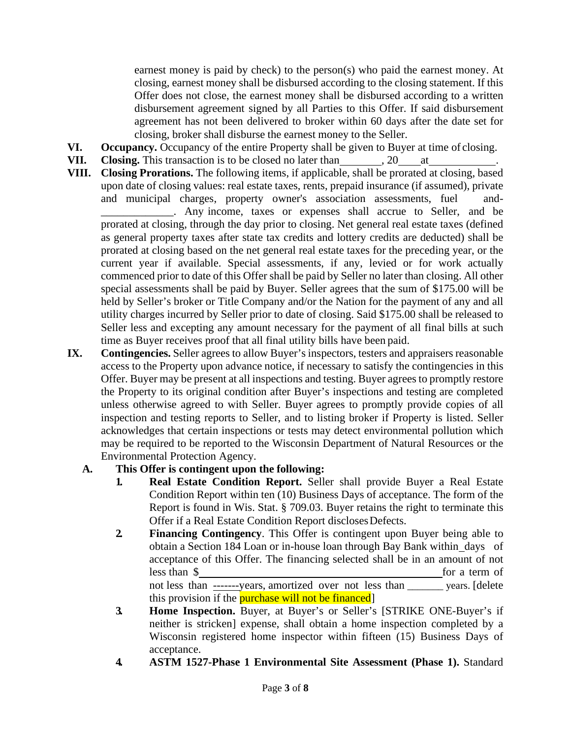earnest money is paid by check) to the person(s) who paid the earnest money. At closing, earnest money shall be disbursed according to the closing statement. If this Offer does not close, the earnest money shall be disbursed according to a written disbursement agreement signed by all Parties to this Offer. If said disbursement agreement has not been delivered to broker within 60 days after the date set for closing, broker shall disburse the earnest money to the Seller.

- **VI. Occupancy.** Occupancy of the entire Property shall be given to Buyer at time of closing.
- **VII.** Closing. This transaction is to be closed no later than , 20 at
- **VIII. Closing Prorations.** The following items, if applicable, shall be prorated at closing, based upon date of closing values: real estate taxes, rents, prepaid insurance (if assumed), private and municipal charges, property owner's association assessments, fuel and-

\_\_\_\_\_\_\_\_\_\_\_\_\_. Any income, taxes or expenses shall accrue to Seller, and be prorated at closing, through the day prior to closing. Net general real estate taxes (defined as general property taxes after state tax credits and lottery credits are deducted) shall be prorated at closing based on the net general real estate taxes for the preceding year, or the current year if available. Special assessments, if any, levied or for work actually commenced prior to date of this Offer shall be paid by Seller no later than closing. All other special assessments shall be paid by Buyer. Seller agrees that the sum of \$175.00 will be held by Seller's broker or Title Company and/or the Nation for the payment of any and all utility charges incurred by Seller prior to date of closing. Said \$175.00 shall be released to Seller less and excepting any amount necessary for the payment of all final bills at such time as Buyer receives proof that all final utility bills have been paid.

**IX. Contingencies.** Seller agrees to allow Buyer's inspectors, testers and appraisers reasonable access to the Property upon advance notice, if necessary to satisfy the contingencies in this Offer. Buyer may be present at all inspections and testing. Buyer agrees to promptly restore the Property to its original condition after Buyer's inspections and testing are completed unless otherwise agreed to with Seller. Buyer agrees to promptly provide copies of all inspection and testing reports to Seller, and to listing broker if Property is listed. Seller acknowledges that certain inspections or tests may detect environmental pollution which may be required to be reported to the Wisconsin Department of Natural Resources or the Environmental Protection Agency.

## **A. This Offer is contingent upon the following:**

- **1. Real Estate Condition Report.** Seller shall provide Buyer a Real Estate Condition Report within ten (10) Business Days of acceptance. The form of the Report is found in Wis. Stat. § 709.03. Buyer retains the right to terminate this Offer if a Real Estate Condition Report discloses Defects.
- **2. Financing Contingency**. This Offer is contingent upon Buyer being able to obtain a Section 184 Loan or in-house loan through Bay Bank within days of acceptance of this Offer. The financing selected shall be in an amount of not less than \$ for a term of not less than -------years, amortized over not less than \_\_\_\_\_\_\_ years. [delete this provision if the **purchase will not be financed**
- **3. Home Inspection.** Buyer, at Buyer's or Seller's [STRIKE ONE-Buyer's if neither is stricken] expense, shall obtain a home inspection completed by a Wisconsin registered home inspector within fifteen (15) Business Days of acceptance.
- **4. ASTM 1527-Phase 1 Environmental Site Assessment (Phase 1).** Standard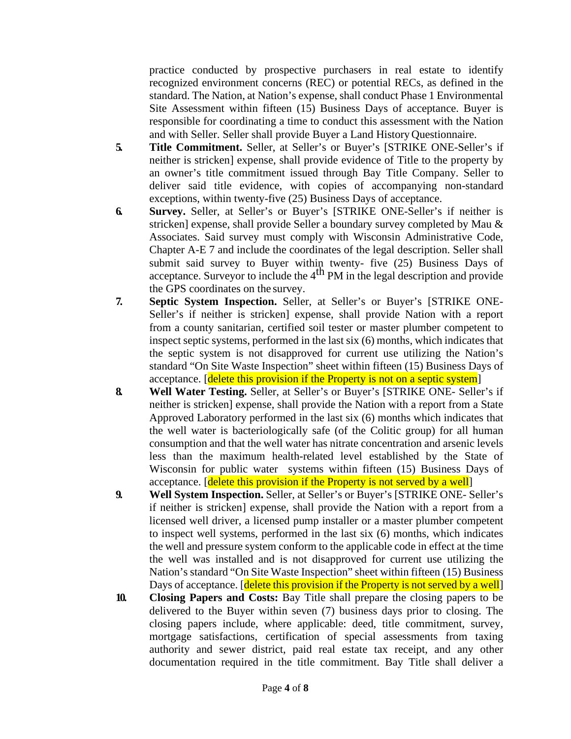practice conducted by prospective purchasers in real estate to identify recognized environment concerns (REC) or potential RECs, as defined in the standard. The Nation, at Nation's expense, shall conduct Phase 1 Environmental Site Assessment within fifteen (15) Business Days of acceptance. Buyer is responsible for coordinating a time to conduct this assessment with the Nation and with Seller. Seller shall provide Buyer a Land History Questionnaire.

- **5. Title Commitment.** Seller, at Seller's or Buyer's [STRIKE ONE-Seller's if neither is stricken] expense, shall provide evidence of Title to the property by an owner's title commitment issued through Bay Title Company. Seller to deliver said title evidence, with copies of accompanying non-standard exceptions, within twenty-five (25) Business Days of acceptance.
- **6. Survey.** Seller, at Seller's or Buyer's [STRIKE ONE-Seller's if neither is stricken] expense, shall provide Seller a boundary survey completed by Mau & Associates. Said survey must comply with Wisconsin Administrative Code, Chapter A-E 7 and include the coordinates of the legal description. Seller shall submit said survey to Buyer within twenty- five (25) Business Days of acceptance. Surveyor to include the  $4<sup>th</sup>$  PM in the legal description and provide the GPS coordinates on the survey.
- **7. Septic System Inspection.** Seller, at Seller's or Buyer's [STRIKE ONE-Seller's if neither is stricken] expense, shall provide Nation with a report from a county sanitarian, certified soil tester or master plumber competent to inspect septic systems, performed in the last six (6) months, which indicates that the septic system is not disapproved for current use utilizing the Nation's standard "On Site Waste Inspection" sheet within fifteen (15) Business Days of acceptance. [delete this provision if the Property is not on a septic system]
- **8. Well Water Testing.** Seller, at Seller's or Buyer's [STRIKE ONE- Seller's if neither is stricken] expense, shall provide the Nation with a report from a State Approved Laboratory performed in the last six (6) months which indicates that the well water is bacteriologically safe (of the Colitic group) for all human consumption and that the well water has nitrate concentration and arsenic levels less than the maximum health-related level established by the State of Wisconsin for public water systems within fifteen (15) Business Days of acceptance. [delete this provision if the Property is not served by a well]
- **9. Well System Inspection.** Seller, at Seller's or Buyer's [STRIKE ONE- Seller's if neither is stricken] expense, shall provide the Nation with a report from a licensed well driver, a licensed pump installer or a master plumber competent to inspect well systems, performed in the last six (6) months, which indicates the well and pressure system conform to the applicable code in effect at the time the well was installed and is not disapproved for current use utilizing the Nation's standard "On Site Waste Inspection" sheet within fifteen (15) Business Days of acceptance. [delete this provision if the Property is not served by a well]
- **10. Closing Papers and Costs:** Bay Title shall prepare the closing papers to be delivered to the Buyer within seven (7) business days prior to closing. The closing papers include, where applicable: deed, title commitment, survey, mortgage satisfactions, certification of special assessments from taxing authority and sewer district, paid real estate tax receipt, and any other documentation required in the title commitment. Bay Title shall deliver a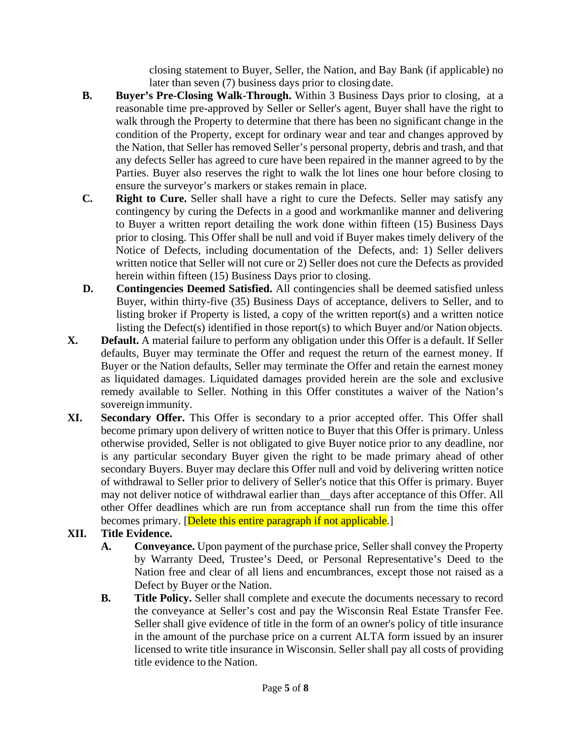closing statement to Buyer, Seller, the Nation, and Bay Bank (if applicable) no later than seven (7) business days prior to closing date.

- **B. Buyer's Pre-Closing Walk-Through.** Within 3 Business Days prior to closing, at a reasonable time pre-approved by Seller or Seller's agent, Buyer shall have the right to walk through the Property to determine that there has been no significant change in the condition of the Property, except for ordinary wear and tear and changes approved by the Nation, that Seller has removed Seller's personal property, debris and trash, and that any defects Seller has agreed to cure have been repaired in the manner agreed to by the Parties. Buyer also reserves the right to walk the lot lines one hour before closing to ensure the surveyor's markers or stakes remain in place.
- **C. Right to Cure.** Seller shall have a right to cure the Defects. Seller may satisfy any contingency by curing the Defects in a good and workmanlike manner and delivering to Buyer a written report detailing the work done within fifteen (15) Business Days prior to closing. This Offer shall be null and void if Buyer makes timely delivery of the Notice of Defects, including documentation of the Defects, and: 1) Seller delivers written notice that Seller will not cure or 2) Seller does not cure the Defects as provided herein within fifteen (15) Business Days prior to closing.
- **D. Contingencies Deemed Satisfied.** All contingencies shall be deemed satisfied unless Buyer, within thirty-five (35) Business Days of acceptance, delivers to Seller, and to listing broker if Property is listed, a copy of the written report(s) and a written notice listing the Defect(s) identified in those report(s) to which Buyer and/or Nation objects.
- **X. Default.** A material failure to perform any obligation under this Offer is a default. If Seller defaults, Buyer may terminate the Offer and request the return of the earnest money. If Buyer or the Nation defaults, Seller may terminate the Offer and retain the earnest money as liquidated damages. Liquidated damages provided herein are the sole and exclusive remedy available to Seller. Nothing in this Offer constitutes a waiver of the Nation's sovereign immunity.
- **XI. Secondary Offer.** This Offer is secondary to a prior accepted offer. This Offer shall become primary upon delivery of written notice to Buyer that this Offer is primary. Unless otherwise provided, Seller is not obligated to give Buyer notice prior to any deadline, nor is any particular secondary Buyer given the right to be made primary ahead of other secondary Buyers. Buyer may declare this Offer null and void by delivering written notice of withdrawal to Seller prior to delivery of Seller's notice that this Offer is primary. Buyer may not deliver notice of withdrawal earlier than days after acceptance of this Offer. All other Offer deadlines which are run from acceptance shall run from the time this offer becomes primary. [Delete this entire paragraph if not applicable.]
- **XII. Title Evidence.**
	- **A. Conveyance.** Upon payment of the purchase price, Seller shall convey the Property by Warranty Deed, Trustee's Deed, or Personal Representative's Deed to the Nation free and clear of all liens and encumbrances, except those not raised as a Defect by Buyer or the Nation.
	- **B. Title Policy.** Seller shall complete and execute the documents necessary to record the conveyance at Seller's cost and pay the Wisconsin Real Estate Transfer Fee. Seller shall give evidence of title in the form of an owner's policy of title insurance in the amount of the purchase price on a current ALTA form issued by an insurer licensed to write title insurance in Wisconsin. Seller shall pay all costs of providing title evidence to the Nation.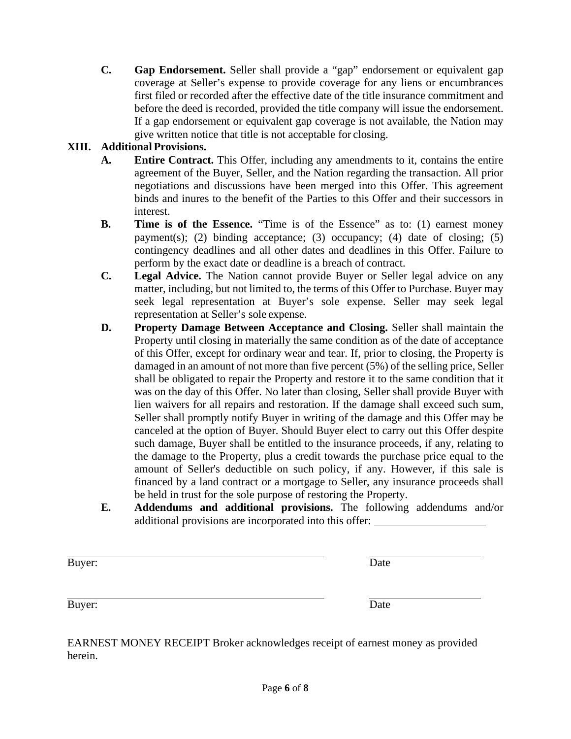**C. Gap Endorsement.** Seller shall provide a "gap" endorsement or equivalent gap coverage at Seller's expense to provide coverage for any liens or encumbrances first filed or recorded after the effective date of the title insurance commitment and before the deed is recorded, provided the title company will issue the endorsement. If a gap endorsement or equivalent gap coverage is not available, the Nation may give written notice that title is not acceptable for closing.

## **XIII. Additional Provisions.**

- **A. Entire Contract.** This Offer, including any amendments to it, contains the entire agreement of the Buyer, Seller, and the Nation regarding the transaction. All prior negotiations and discussions have been merged into this Offer. This agreement binds and inures to the benefit of the Parties to this Offer and their successors in interest.
- **B. Time is of the Essence.** "Time is of the Essence" as to: (1) earnest money payment(s); (2) binding acceptance; (3) occupancy; (4) date of closing; (5) contingency deadlines and all other dates and deadlines in this Offer. Failure to perform by the exact date or deadline is a breach of contract.
- **C. Legal Advice.** The Nation cannot provide Buyer or Seller legal advice on any matter, including, but not limited to, the terms of this Offer to Purchase. Buyer may seek legal representation at Buyer's sole expense. Seller may seek legal representation at Seller's sole expense.
- **D. Property Damage Between Acceptance and Closing.** Seller shall maintain the Property until closing in materially the same condition as of the date of acceptance of this Offer, except for ordinary wear and tear. If, prior to closing, the Property is damaged in an amount of not more than five percent (5%) of the selling price, Seller shall be obligated to repair the Property and restore it to the same condition that it was on the day of this Offer. No later than closing, Seller shall provide Buyer with lien waivers for all repairs and restoration. If the damage shall exceed such sum, Seller shall promptly notify Buyer in writing of the damage and this Offer may be canceled at the option of Buyer. Should Buyer elect to carry out this Offer despite such damage, Buyer shall be entitled to the insurance proceeds, if any, relating to the damage to the Property, plus a credit towards the purchase price equal to the amount of Seller's deductible on such policy, if any. However, if this sale is financed by a land contract or a mortgage to Seller, any insurance proceeds shall be held in trust for the sole purpose of restoring the Property.
- **E. Addendums and additional provisions.** The following addendums and/or additional provisions are incorporated into this offer:

| Buyer: | Date |  |
|--------|------|--|
| Buyer: | Date |  |

EARNEST MONEY RECEIPT Broker acknowledges receipt of earnest money as provided herein.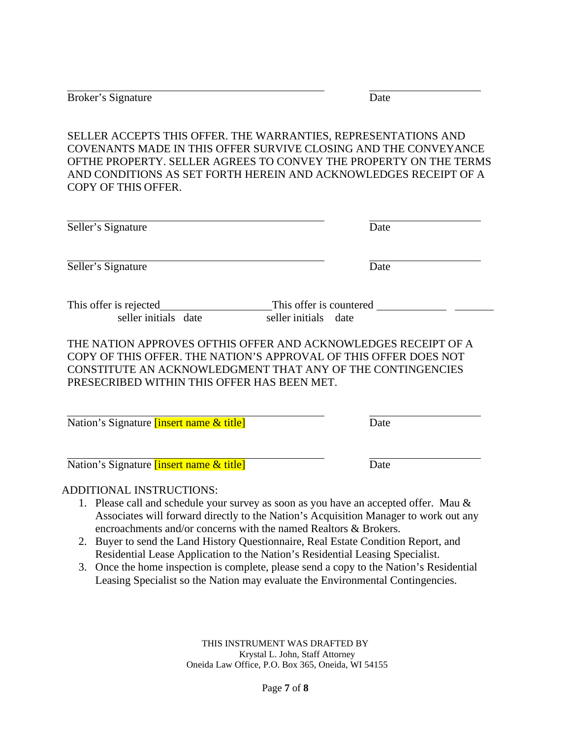Broker's Signature Date

SELLER ACCEPTS THIS OFFER. THE WARRANTIES, REPRESENTATIONS AND COVENANTS MADE IN THIS OFFER SURVIVE CLOSING AND THE CONVEYANCE OFTHE PROPERTY. SELLER AGREES TO CONVEY THE PROPERTY ON THE TERMS AND CONDITIONS AS SET FORTH HEREIN AND ACKNOWLEDGES RECEIPT OF A COPY OF THIS OFFER.

| Seller's Signature                                                                                                                                                                                                                              | Date                    |
|-------------------------------------------------------------------------------------------------------------------------------------------------------------------------------------------------------------------------------------------------|-------------------------|
| Seller's Signature                                                                                                                                                                                                                              | Date                    |
| This offer is rejected                                                                                                                                                                                                                          | This offer is countered |
| seller initials date                                                                                                                                                                                                                            | seller initials date    |
| THE NATION APPROVES OFTHIS OFFER AND ACKNOWLEDGES RECEIPT OF A<br>COPY OF THIS OFFER. THE NATION'S APPROVAL OF THIS OFFER DOES NOT<br>CONSTITUTE AN ACKNOWLEDGMENT THAT ANY OF THE CONTINGENCIES<br>PRESECRIBED WITHIN THIS OFFER HAS BEEN MET. |                         |
| Nation's Signature <i>[insert name &amp; title]</i>                                                                                                                                                                                             | Date                    |
| Nation's Signature <i>linsert name &amp; title</i>                                                                                                                                                                                              | Date                    |

### ADDITIONAL INSTRUCTIONS:

- 1. Please call and schedule your survey as soon as you have an accepted offer. Mau & Associates will forward directly to the Nation's Acquisition Manager to work out any encroachments and/or concerns with the named Realtors & Brokers.
- 2. Buyer to send the Land History Questionnaire, Real Estate Condition Report, and Residential Lease Application to the Nation's Residential Leasing Specialist.
- 3. Once the home inspection is complete, please send a copy to the Nation's Residential Leasing Specialist so the Nation may evaluate the Environmental Contingencies.

THIS INSTRUMENT WAS DRAFTED BY Krystal L. John, Staff Attorney Oneida Law Office, P.O. Box 365, Oneida, WI 54155